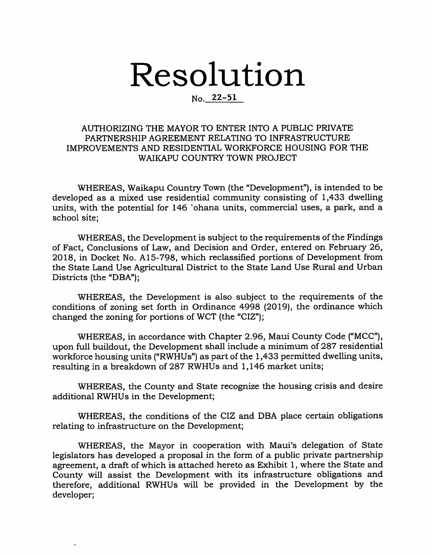# Resolution

# No. 22-51

# AUTHORIZING THE MAYOR TO ENTER INTO A PUBLIC PRIVATE PARTNERSHIP AGREEMENT RELATING TO INFRASTRUCTURE IMPROVEMENTS AND RESIDENTIAL WORKFORCE HOUSING FOR THE WAIKAPU COUNTRY TOWN PROJECT

WHEREAS, Waikapu Country Town (the "Development"), is intended to be developed as a mixed use residential community consisting of 1,433 dwelling units, with the potential for 146 'ohana units, commercial uses, a park, and a school site;

WHEREAS, the Development is subject to the requirements of the Findings of Fact, Conclusions of Law, and Decision and Order, entered on February 26, 2018, in Docket No. A15-798, which reclassified portions of Development from the State Land Use Agricultural District to the State Land Use Rural and Urban Districts (the "DBA");

WHEREAS, the Development is also subject to the requirements of the conditions of zoning set forth in Ordinance 4998 (2019), the ordinance which changed the zoning for portions of WCT (the "CIZ");

WHEREAS, in accordance with Chapter 2.96, Maui County Code ("MCC"), upon full buildout, the Development shall include a minimum of 287 residential workforce housing units ("RWHUs") as part of the 1,433 permitted dwelling units, resulting in a breakdown of 287 RWHUs and 1,146 market units;

WHEREAS, the County and State recognize the housing crisis and desire additional RWHUs in the Development;

WHEREAS, the conditions of the CIZ and DBA place certain obligations relating to infrastructure on the Development;

WHEREAS, the Mayor in cooperation with Maui's delegation of State legislators has developed a proposal in the form of a public private partnership agreement, a draft of which is attached hereto as Exhibit 1, where the State and County will assist the Development with its infrastructure obligations and therefore, additional RWHUs will be provided in the Development by the developer;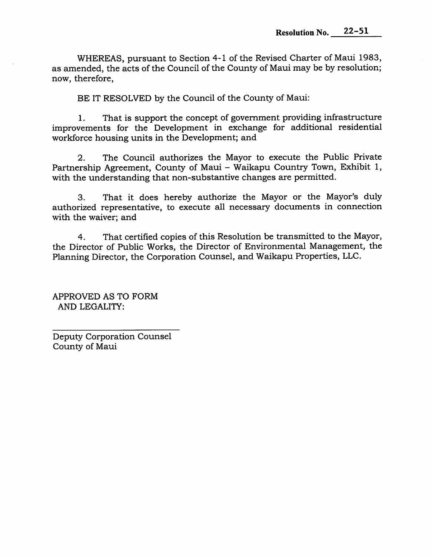WHEREAS, pursuant to Section 4-1 of the Revised Charter of Maui 1983, as amended, the acts of the Council of the County of Maui may be by resolution; now, therefore.

BE IT RESOLVED by the Council of the County of Maui:

That is support the concept of government providing infrastructure improvements for the Development in exchange for additional residential workforce housing units in the Development; and 1.

The Council authorizes the Mayor to execute the Public Private Partnership Agreement, County of Maui - Waikapu Country Town, Exhibit 1, with the understanding that non-substantive changes are permitted. 2.

That it does hereby authorize the Mayor or the Mayor's duly authorized representative, to execute all necessary documents in connection with the waiver; and 3.

That certified copies of this Resolution be transmitted to the Mayor, the Director of Public Works, the Director of Environmental Management, the Planning Director, the Corporation Counsel, and Waikapu Properties, LLC. 4.

APPROVED AS TO FORM AND LEGALITY:

Deputy Corporation Counsel County of Maui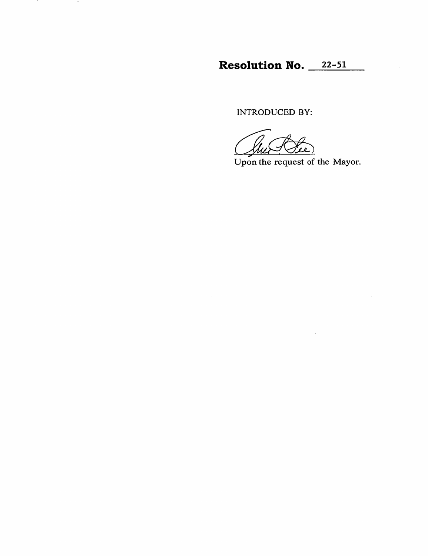Resolution No. 22-51

INTRODUCED BY:

- 7

 $\sim$ 

حمد

Upon the request of the Mayor.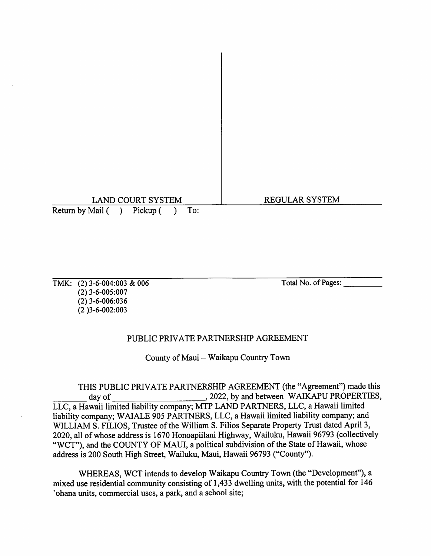# LAND COURT SYSTEM REGULAR SYSTEM Return by Mail ( ) Pickup ( ) To:

TMK: (2) 3-6-004:003 & 006 Total No. of Pages: (2) 3-6-005:007 (2)3-6-006:036 (2 )3-6-002;003

# PUBLIC PRIVATE PARTNERSHIP AGREEMENT

County of Maui - Waikapu Country Town

THIS PUBLIC PRIVATE PARTNERSHIP AGREEMENT (the "Agreement") made this day of LLC, a Hawaii limited liability company; MTP LAND PARTNERS, LLC, a Hawaii limited liability company; WAIALE 905 PARTNERS, LLC, a Hawaii limited liability company; and WILLIAM S. FILIOS, Trustee of the William S. Filios Separate Property Trust dated April 3, 2020, all of whose address is 1670 Honoapiilani Highway, Wailuku, Hawaii 96793 (collectively "WCT"), and the COUNTY OF MAUI, a political subdivision of the State of Hawaii, whose address is 200 South High Street, Wailuku, Maui, Flawaii 96793 ("County"). , 2022, by and between WAIKAPU PROPERTIES,

WHEREAS, WCT intends to develop Waikapu Country Town (the "Development"), a mixed use residential community consisting of 1,433 dwelling units, with the potential for 146 'ohana units, commercial uses, a park, and a school site;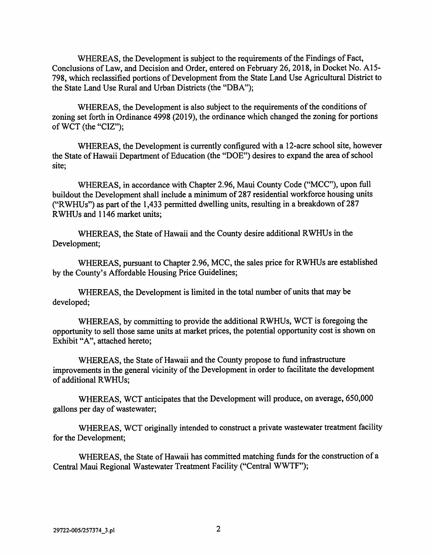WHEREAS, the Development is subject to the requirements of the Findings of Fact, Conclusions of Law, and Decision and Order, entered on February 26, 2018, in Docket No. A15- 798, which reclassified portions of Development from the State Land Use Agricultural District to the State Land Use Rural and Urban Districts (the "DBA");

WHEREAS, the Development is also subject to the requirements of the conditions of zoning set forth in Ordinance 4998 (2019), the ordinance which changed the zoning for portions ofWCT (the "CIZ");

WHEREAS, the Development is currently configured with a 12-acre school site, however the State of Hawaii Department of Education (the "DOE") desires to expand the area of school site;

WHEREAS, in accordance with Chapter 2.96, Maui County Code ("MCC"), upon full buildout the Development shall include a minimum of 287 residential workforce housing units ("RWHUs") as part of the 1,433 permitted dwelling units, resulting in a breakdown of  $287$ RWHUs and 1146 market units;

WHEREAS, the State of Hawaii and the County desire additional RWHUs in the Development;

WHEREAS, pursuant to Chapter 2.96, MCC, the sales price for RWHUs are established by the County's Affordable Housing Price Guidelines;

WHEREAS, the Development is limited in the total number of units that may be developed;

WHEREAS, by committing to provide the additional RWHUs, WCT is foregoing the opportunity to sell those same units at market prices, the potential opportunity cost is shown on Exhibit "A", attached hereto;

WHEREAS, the State of Hawaii and the County propose to fund infrastructure improvements in the general vicinity of the Development in order to facilitate the development of additional RWHUs;

WHEREAS, WCT anticipates that the Development will produce, on average, 650,000 gallons per day of wastewater;

WHEREAS, WCT originally intended to construct a private wastewater treatment facility for the Development;

WHEREAS, the State of Hawaii has committed matching funds for the construction of a Central Maui Regional Wastewater Treatment Facility ("Central WWTF");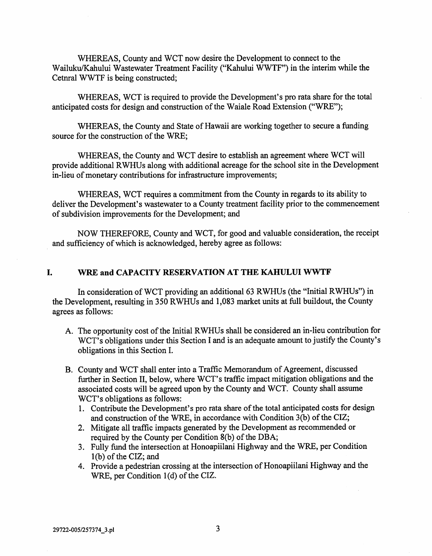WHEREAS, County and WCT now desire the Development to connect to the Wailuku/Kahului Wastewater Treatment Facility ("Kahului WWTF") in the interim while the Cetnral WWTF is being constructed;

WHEREAS, WCT is required to provide the Development's pro rata share for the total anticipated costs for design and construction of the Waiale Road Extension ("WRE");

WHEREAS, the County and State of Hawaii are working together to secure a funding source for the construction of the WRE;

WHEREAS, the County and WCT desire to establish an agreement where WCT will provide additional RWHUs along with additional acreage for the school site in the Development in-lieu of monetary contributions for infrastructure improvements;

WHEREAS, WCT requires a commitment from the County in regards to its ability to deliver the Development's wastewater to a County treatment facility prior to the commencement of subdivision improvements for the Development; and

NOW THEREFORE, County and WCT, for good and valuable consideration, the receipt and sufficiency of which is acknowledged, hereby agree as follows:

#### I. WRE and CAPACITY RESERVATION AT THE KAHULUI WWTF

In consideration of WCT providing an additional 63 RWHUs (the "Initial RWHUs") in the Development, resulting in 350 RWFIUs and 1,083 market units at full buildout, the County agrees as follows:

- A. The opportunity cost of the Initial RWHUs shall be considered an in-lieu contribution for WCT's obligations under this Section I and is an adequate amount to justify the County's obligations in this Section I.
- B. County and WCT shall enter into a Traffic Memorandum of Agreement, discussed further in Section II, below, where WCT's traffic impact mitigation obligations and the associated costs will be agreed upon by the County and WCT. County shall assume WCT's obligations as follows:
	- 1. Contribute the Development's pro rata share of the total anticipated costs for design and construction of the WRE, in accordance with Condition 3(b) of the CIZ;
	- 2. Mitigate all traffic impacts generated by the Development as recommended or required by the County per Condition 8(b) of the DBA;
	- 3. Fully fund the intersection at Honoapiilani Highway and the WRE, per Condition 1(b) of the CIZ; and
	- 4. Provide a pedestrian crossing at the intersection of Honoapiilani Highway and the WRE, per Condition 1(d) of the CIZ.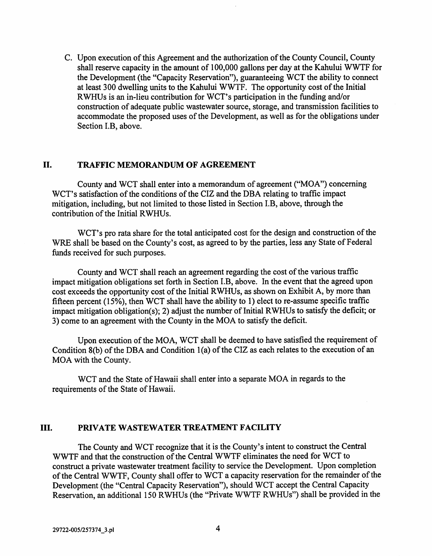C. Upon execution of this Agreement and the authorization of the County Council, County shall reserve capacity in the amount of 100,000 gallons per day at the Kahului WWTF for the Development (the "Capacity Reservation"), guaranteeing WCT the ability to connect at least 300 dwelling units to the Kahului WWTF. The opportunity cost of the Initial RWHUs is an in-lieu contribution for WCT's participation in the funding and/or construction of adequate public wastewater source, storage, and transmission facilities to accommodate the proposed uses of the Development, as well as for the obligations under Section I.B, above.

#### II. TRAFFIC MEMORANDUM OF AGREEMENT

County and WCT shall enter into a memorandum of agreement ("MOA") concerning WCT's satisfaction of the conditions of the CIZ and the DBA relating to traffic impact mitigation, including, but not limited to those listed in Section I.B, above, through the contribution of the Initial RWHUs.

WCT's pro rata share for the total anticipated cost for the design and construction of the WRE shall be based on the County's cost, as agreed to by the parties, less any State of Federal funds received for such purposes.

County and WCT shall reach an agreement regarding the cost of the various traffic impact mitigation obligations set forth in Section I.B, above. In the event that the agreed upon cost exceeds the opportunity cost of the Initial RWHUs, as shown on Exhibit A, by more than fifteen percent (15%), then WCT shall have the ability to 1) elect to re-assume specific traffic impact mitigation obligation(s); 2) adjust the number of Initial RWHUs to satisfy the deficit; or 3) come to an agreement with the County in the MOA to satisfy the deficit.

Upon execution of the MOA, WCT shall be deemed to have satisfied the requirement of Condition 8(b) of the DBA and Condition 1(a) of the CIZ as each relates to the execution of an MOA with the County.

WCT and the State of Hawaii shall enter into a separate MOA in regards to the requirements of the State of Hawaii.

# III. PRIVATE WASTEWATER TREATMENT FACILITY

The County and WCT recognize that it is the County's intent to construct the Central WWTF and that the construction of the Central WWTF eliminates the need for WCT to construct a private wastewater treatment facility to service the Development. Upon completion of the Central WWTF, County shall offer to WCT a capacity reservation for the remainder of the Development (the "Central Capacity Reservation"), should WCT accept the Central Capacity Reservation, an additional 150 RWHUs (the "Private WWTF RWHUs") shall be provided in the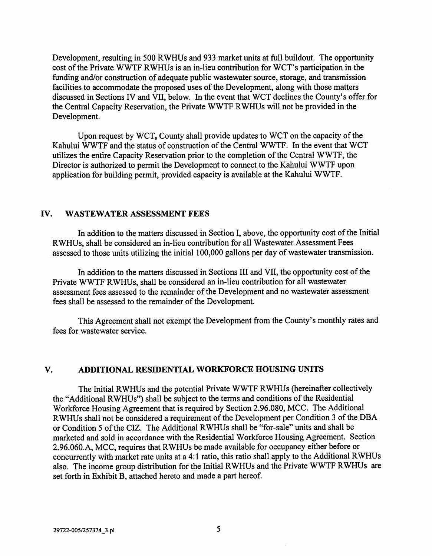Development, resulting in 500 RWHUs and 933 market units at full buildout. The opportunity cost of the Private WWTF RWHUs is an in-lieu contribution for WCT's participation in the funding and/or construction of adequate public wastewater source, storage, and transmission facilities to accommodate the proposed uses of the Development, along with those matters discussed in Sections IV and VII, below. In the event that WCT declines the County's offer for the Central Capacity Reservation, the Private WWTF RWHUs will not be provided in the Development.

Upon request by WCT, County shall provide updates to WCT on the capacity of the Kahului WWTF and the status of construction of the Central WWTF. In the event that WCT utilizes the entire Capacity Reservation prior to the completion of the Central WWTF, the Director is authorized to permit the Development to connect to the Kahului WWTF upon application for building permit, provided capacity is available at the Kahului WWTF.

#### IV. WASTEWATER ASSESSMENT FEES

In addition to the matters discussed in Section I, above, the opportunity cost of the Initial RWHUs, shall be considered an in-lieu contribution for all Wastewater Assessment Fees assessed to those units utilizing the initial 100,000 gallons per day of wastewater transmission.

In addition to the matters discussed in Sections III and VII, the opportunity cost of the Private WWTF RWHUs, shall be considered an in-lieu contribution for all wastewater assessment fees assessed to the remainder of the Development and no wastewater assessment fees shall be assessed to the remainder of the Development.

This Agreement shall not exempt the Development from the County's monthly rates and fees for wastewater service.

#### V. ADDITIONAL RESIDENTIAL WORKFORCE HOUSING UNITS

The Initial RWHUs and the potential Private WWTF RWHUs (hereinafter collectively the "Additional RWHUs") shall be subject to the terms and conditions of the Residential Workforce Housing Agreement that is required by Section 2.96.080, MCC. The Additional RWHUs shall not be considered a requirement of the Development per Condition 3 of the DBA or Condition 5 of the CIZ. The Additional RWHUs shall be "for-sale" units and shall be marketed and sold in accordance with the Residential Workforce Housing Agreement. Section 2.96.060.A, MCC, requires that RWHUs be made available for occupancy either before or concurrently with market rate units at a 4:1 ratio, this ratio shall apply to the Additional RWHUs also. The income group distribution for the Initial RWHUs and the Private WWTF RWHUs are set forth in Exhibit B, attached hereto and made a part hereof.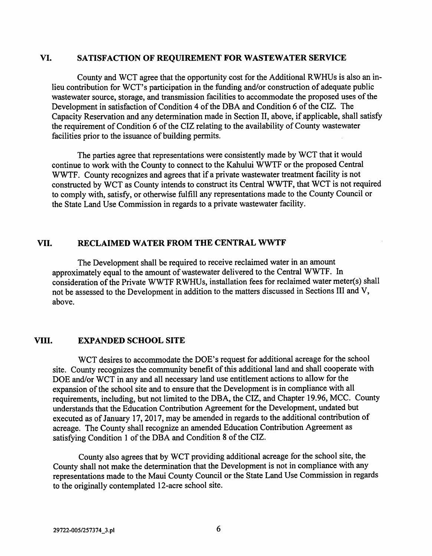#### VI. SATISFACTION OF REQUIREMENT FOR WASTEWATER SERVICE

County and WCT agree that the opportunity cost for the Additional RWHUs is also an inlieu contribution for WCT's participation in the funding and/or construction of adequate public wastewater source, storage, and transmission facilities to accommodate the proposed uses of the Development in satisfaction of Condition 4 of the DBA and Condition 6 of the CIZ. The Capacity Reservation and any determination made in Section II, above, if applicable, shall satisfy the requirement of Condition 6 of the CIZ relating to the availability of County wastewater facilities prior to the issuance of building permits.

The parties agree that representations were consistently made by WCT that it would continue to work with the County to connect to the Kahului WWTF or the proposed Central WWTF. County recognizes and agrees that if a private wastewater treatment facility is not constructed by WCT as County intends to construct its Central WWTF, that WCT is not required to comply with, satisfy, or otherwise fulfill any representations made to the County Council or the State Land Use Commission in regards to a private wastewater facility.

#### VII. RECLAIMED WATER FROM THE CENTRAL WWTF

The Development shall be required to receive reclaimed water in an amount approximately equal to the amount of wastewater delivered to the Central WWTF. In consideration of the Private WWTF RWHUs, installation fees for reclaimed water meter(s) shall not be assessed to the Development in addition to the matters discussed in Sections III and V, above.

#### VIII. EXPANDED SCHOOL SITE

WCT desires to accommodate the DOE's request for additional acreage for the school site. County recognizes the community benefit of this additional land and shall cooperate with DOE and/or WCT in any and all necessary land use entitlement actions to allow for the expansion of the school site and to ensure that the Development is in compliance with all expansion of the school site and to ensure that the Development is in compliance with all requirements, including, but not limited to the DBA, the CIZ, and Chapter 19.96, MCC. County understands that the Education Contribution Agreement for the Development, undated but executed as of January 17, 2017, may be amended in regards to the additional contribution of acreage. The County shall recognize an amended Education Contribution Agreement as satisfying Condition 1 of the DBA and Condition 8 of the CIZ.

County also agrees that by WCT providing additional acreage for the school site, the County shall not make the determination that the Development is not in compliance with any representations made to the Maui County Council or the State Land Use Commission in regards to the originally contemplated 12-acre school site.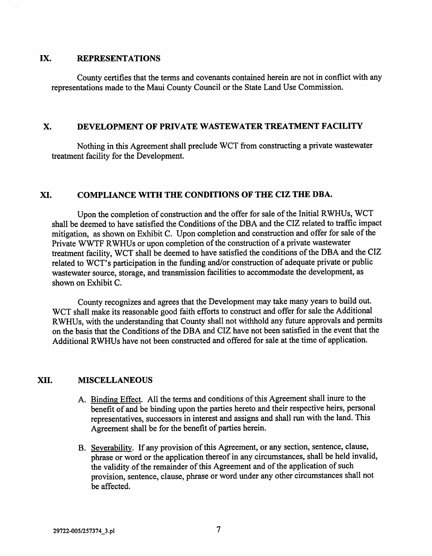#### IX, REPRESENTATIONS

County certifies that the terms and covenants contained herein are not in conflict with any representations made to the Maui County Council or the State Land Use Commission.

#### X. DEVELOPMENT OF PRIVATE WASTEWATER TREATMENT FACILITY

Nothing in this Agreement shall preclude WCT from constructing a private wastewater treatment facility for the Development.

#### XL COMPLIANCE WITH THE CONDITIONS OF THE CIZ THE DBA.

Upon the completion of construction and the offer for sale of the Initial RWHUs, WCT shall be deemed to have satisfied the Conditions of the DBA and the CIZ related to traffic impact mitigation, as shown on Exhibit C. Upon completion and construction and offer for sale of the Private WWTF RWHUs or upon completion of the construction of a private wastewater treatment facility, WCT shall be deemed to have satisfied the conditions of the DBA and the CIZ related to WCT's participation in the funding and/or construction of adequate private or public wastewater source, storage, and transmission facilities to accommodate the development, as shown on Exhibit C.

County recognizes and agrees that the Development may take many years to build out. WCT shall make its reasonable good faith efforts to construct and offer for sale the Additional RWHUs, with the understanding that County shall not withhold any future approvals and permits on the basis that the Conditions of the DBA and CIZ have not been satisfied in the event that the Additional RWHUs have not been constructed and offered for sale at the time of application.

#### XII. MISCELLANEOUS

- A. Binding Effect. All the terms and conditions of this Agreement shall inure to the benefit of and be binding upon the parties hereto and their respective heirs, personal representatives, successors in interest and assigns and shall run with the land. This Agreement shall be for the benefit of parties herein.
- B. Severability. If any provision of this Agreement, or any section, sentence, clause, phrase or word or the application thereof in any circumstances, shall be held invalid, the validity of the remainder of this Agreement and of the application of such provision, sentence, clause, phrase or word under any other circumstances shall not be affected.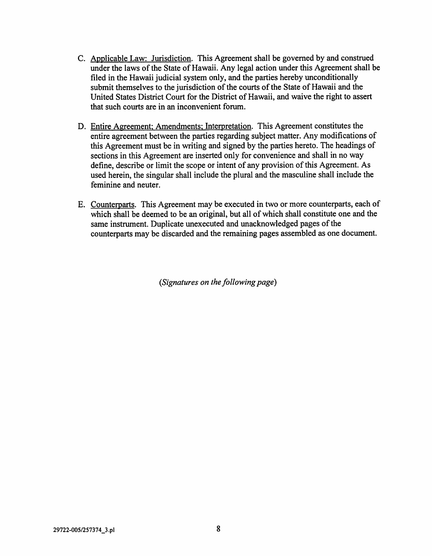- C. Applicable Law: Jurisdiction. This Agreement shall be governed by and construed under the laws of the State of Hawaii. Any legal action under this Agreement shall be filed in the Hawaii judicial system only, and the parties hereby unconditionally submit themselves to the jurisdiction of the courts of the State of Hawaii and the United States District Court for the District of Hawaii, and waive the right to assert that such courts are in an inconvenient forum.
- D. Entire Agreement: Amendments: Interpretation. This Agreement constitutes the entire agreement between the parties regarding subject matter. Any modifications of this Agreement must be in writing and signed by the parties hereto. The headings of sections in this Agreement are inserted only for convenience and shall in no way define, describe or limit the scope or intent of any provision of this Agreement. As used herein, the singular shall include the plural and the masculine shall include the feminine and neuter.
- E. Counterparts. This Agreement may be executed in two or more counterparts, each of which shall be deemed to be an original, but all of which shall constitute one and the same instrument. Duplicate unexecuted and unacknowledged pages of the counterparts may be discarded and the remaining pages assembled as one document.

{Signatures on the following page)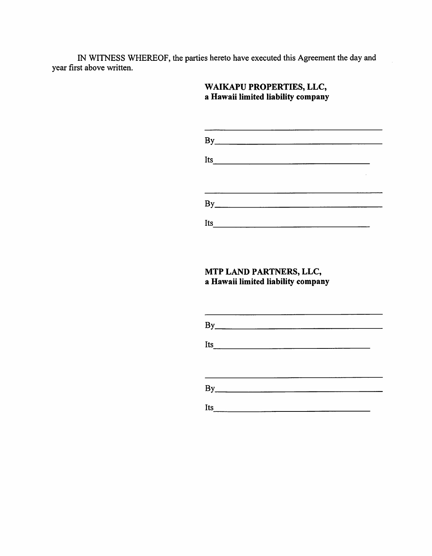IN WITNESS WHEREOF, the parties hereto have executed this Agreement the day and year first above written.

# WAIKAPU PROPERTIES, LLC, a Hawaii limited liability company

| By  |                                          |  |  |  |
|-----|------------------------------------------|--|--|--|
| Its | <u> 1989 - Johann John Stein, mars a</u> |  |  |  |
|     |                                          |  |  |  |
|     |                                          |  |  |  |
| By  |                                          |  |  |  |
| Its |                                          |  |  |  |

the control of the control of the control of the control of the control of the control of the control of the control of the control of the control of the control of the control of the control of the control of the control

# MTP LAND PARTNERS, LLC, a Hawaii limited liability company

|     | By |  |  |  |
|-----|----|--|--|--|
|     |    |  |  |  |
|     |    |  |  |  |
|     |    |  |  |  |
|     | By |  |  |  |
| Its |    |  |  |  |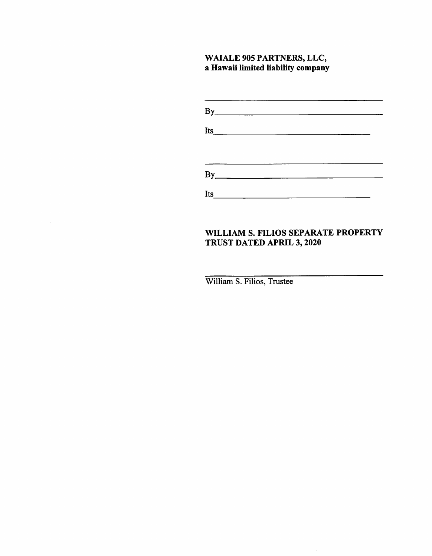# WAIALE 905 PARTNERS, LLC, a Hawaii limited liability company

|     | By |  |  |
|-----|----|--|--|
|     |    |  |  |
|     |    |  |  |
|     |    |  |  |
|     |    |  |  |
|     | By |  |  |
|     |    |  |  |
| Its |    |  |  |

# WILLIAM S. FILIOS SEPARATE PROPERTY TRUST DATED APRIL 3, 2020

 $\sim$ 

William S. Filios, Trustee

 $\ddot{\phantom{a}}$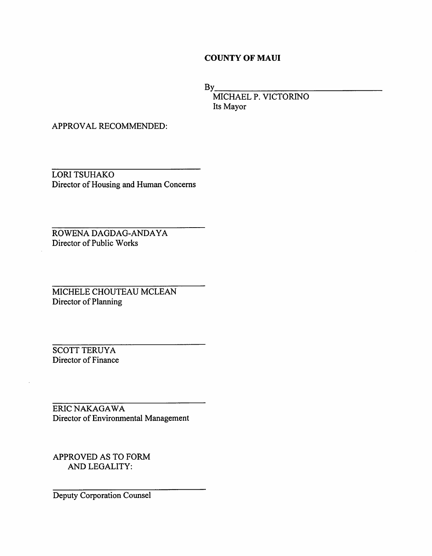#### COUNTY OF MAUI

 $By$ 

MICHAEL P. VICTORINO Its Mayor

APPROVAL RECOMMENDED:

LORI TSUHAKO Director of Housing and Human Concerns

ROWENA DAGDAG-ANDAYA Director of Public Works

MICHELE CHOUTEAU MCLEAN Director of Planning

SCOTT TERUYA Director of Finance

ERIC NAKAGAWA Director of Environmental Management

APPROVED AS TO FORM AND LEGALITY:

Deputy Corporation Counsel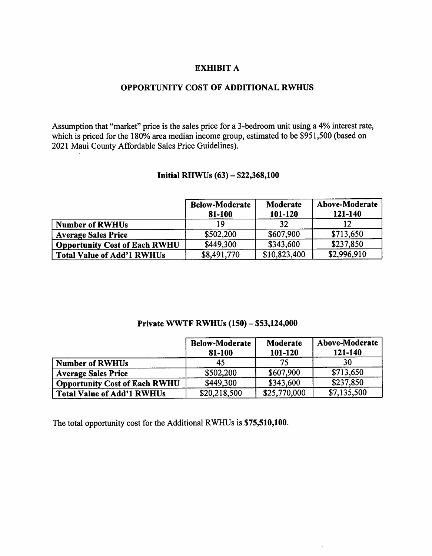#### EXHIBIT A

#### OPPORTUNITY COST OF ADDITIONAL RWHUS

Assumption that "market" price is the sales price for a 3-bedroom unit using a 4% interest rate, which is priced for the 180% area median income group, estimated to be \$951,500 (based on 2021 Maui County Affordable Sales Price Guidelines).

#### Initial RHWUs (63) - \$22,368,100

|                                      | <b>Below-Moderate</b><br>81-100 | Moderate<br>101-120 | Above-Moderate<br>121-140 |
|--------------------------------------|---------------------------------|---------------------|---------------------------|
| <b>Number of RWHUs</b>               | 19                              | 32                  |                           |
| <b>Average Sales Price</b>           | \$502,200                       | \$607,900           | \$713,650                 |
| <b>Opportunity Cost of Each RWHU</b> | \$449,300                       | \$343,600           | \$237,850                 |
| <b>Total Value of Add'1 RWHUs</b>    | \$8,491,770                     | \$10,823,400        | \$2,996,910               |

#### Private WWTF RWHUs (150) - \$53,124,000

|                                      | <b>Below-Moderate</b><br>81-100 | Moderate<br>101-120 | Above-Moderate<br>121-140 |
|--------------------------------------|---------------------------------|---------------------|---------------------------|
| <b>Number of RWHUs</b>               | 45                              | 75                  | 30                        |
| <b>Average Sales Price</b>           | \$502,200                       | \$607,900           | \$713,650                 |
| <b>Opportunity Cost of Each RWHU</b> | \$449,300                       | \$343,600           | \$237,850                 |
| Total Value of Add'1 RWHUs           | \$20,218,500                    | \$25,770,000        | \$7,135,500               |

The total opportunity cost for the Additional RWHUs is \$75,510,100.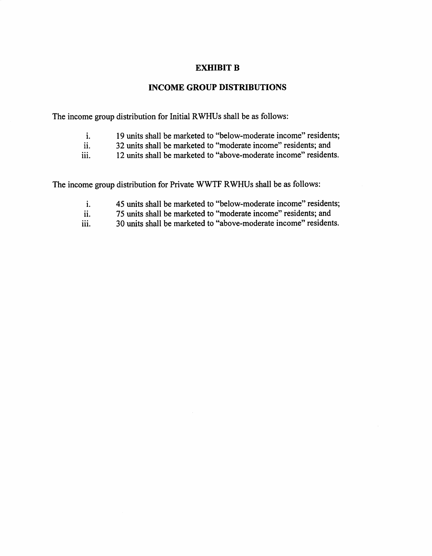#### EXHIBIT B

#### INCOME GROUP DISTRIBUTIONS

The income group distribution for Initial RWHUs shall be as follows:

- 19 units shall be marketed to "below-moderate income" residents; 1.
- 32 units shall be marketed to "moderate income" residents; and 11.
- 12 units shall be marketed to "above-moderate income" residents. iii.

The income group distribution for Private WWTF RWHUs shall be as follows:

- 45 units shall be marketed to "below-moderate income" residents; 1.
- 75 units shall be marketed to "moderate income" residents; and 11.
- 30 units shall be marketed to "above-moderate income" residents. iii.